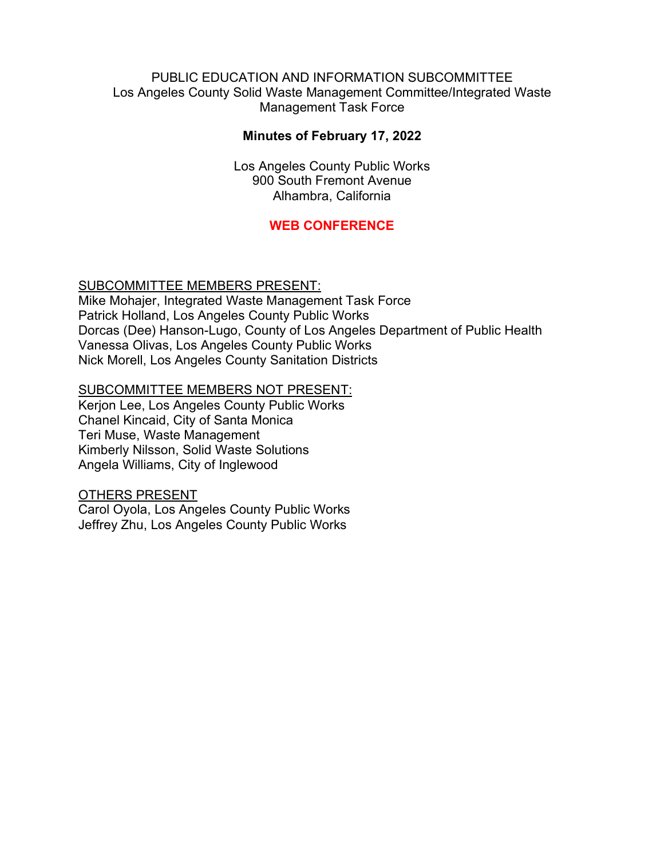### PUBLIC EDUCATION AND INFORMATION SUBCOMMITTEE Los Angeles County Solid Waste Management Committee/Integrated Waste Management Task Force

## **Minutes of February 17, 2022**

Los Angeles County Public Works 900 South Fremont Avenue Alhambra, California

# **WEB CONFERENCE**

### SUBCOMMITTEE MEMBERS PRESENT:

Mike Mohajer, Integrated Waste Management Task Force Patrick Holland, Los Angeles County Public Works Dorcas (Dee) Hanson-Lugo, County of Los Angeles Department of Public Health Vanessa Olivas, Los Angeles County Public Works Nick Morell, Los Angeles County Sanitation Districts

#### SUBCOMMITTEE MEMBERS NOT PRESENT:

Kerjon Lee, Los Angeles County Public Works Chanel Kincaid, City of Santa Monica Teri Muse, Waste Management Kimberly Nilsson, Solid Waste Solutions Angela Williams, City of Inglewood

#### OTHERS PRESENT

Carol Oyola, Los Angeles County Public Works Jeffrey Zhu, Los Angeles County Public Works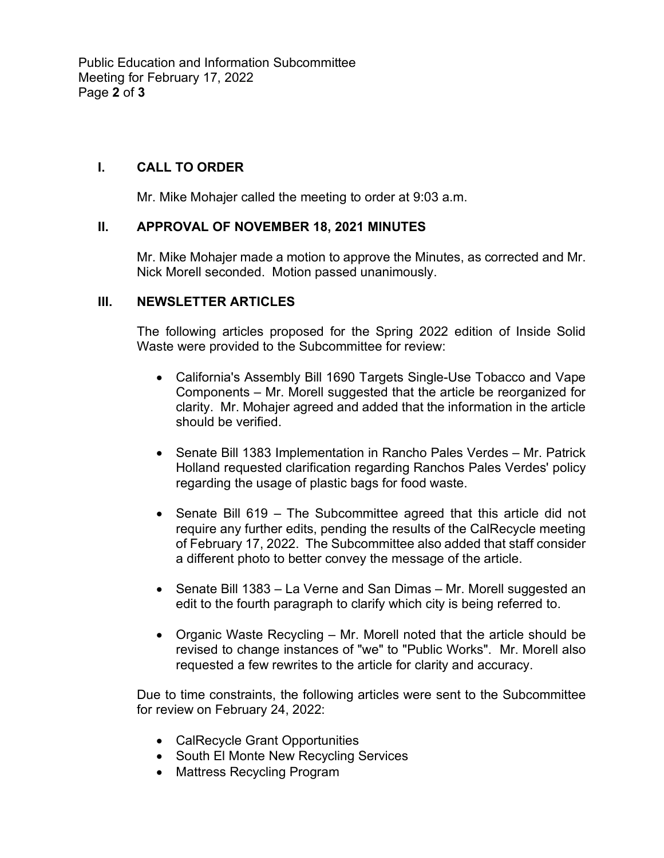Public Education and Information Subcommittee Meeting for February 17, 2022 Page **2** of **3**

## **I. CALL TO ORDER**

Mr. Mike Mohajer called the meeting to order at 9:03 a.m.

### **II. APPROVAL OF NOVEMBER 18, 2021 MINUTES**

Mr. Mike Mohajer made a motion to approve the Minutes, as corrected and Mr. Nick Morell seconded. Motion passed unanimously.

### **III. NEWSLETTER ARTICLES**

The following articles proposed for the Spring 2022 edition of Inside Solid Waste were provided to the Subcommittee for review:

- California's Assembly Bill 1690 Targets Single-Use Tobacco and Vape Components – Mr. Morell suggested that the article be reorganized for clarity. Mr. Mohajer agreed and added that the information in the article should be verified.
- Senate Bill 1383 Implementation in Rancho Pales Verdes Mr. Patrick Holland requested clarification regarding Ranchos Pales Verdes' policy regarding the usage of plastic bags for food waste.
- Senate Bill 619 The Subcommittee agreed that this article did not require any further edits, pending the results of the CalRecycle meeting of February 17, 2022. The Subcommittee also added that staff consider a different photo to better convey the message of the article.
- Senate Bill 1383 La Verne and San Dimas Mr. Morell suggested an edit to the fourth paragraph to clarify which city is being referred to.
- Organic Waste Recycling Mr. Morell noted that the article should be revised to change instances of "we" to "Public Works". Mr. Morell also requested a few rewrites to the article for clarity and accuracy.

Due to time constraints, the following articles were sent to the Subcommittee for review on February 24, 2022:

- CalRecycle Grant Opportunities
- South El Monte New Recycling Services
- Mattress Recycling Program